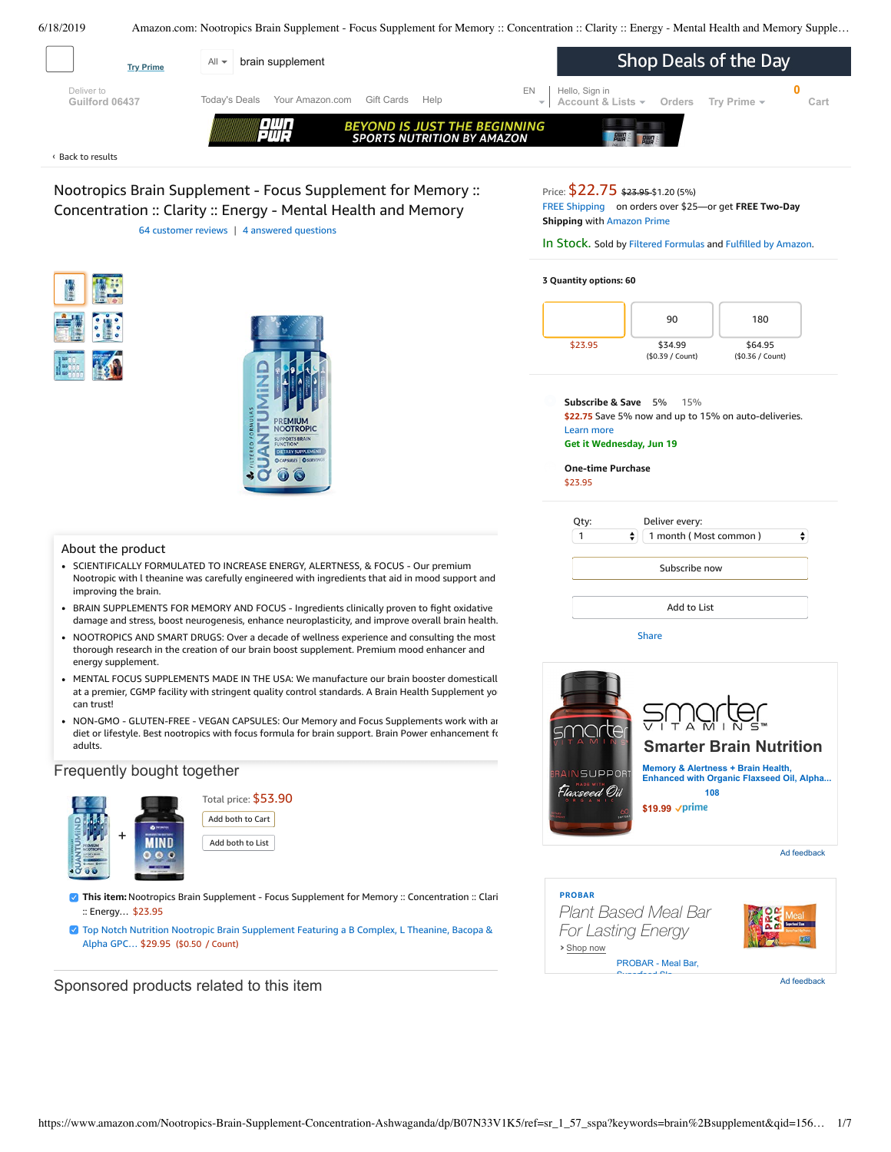<span id="page-0-0"></span>

| <b>Try Prime</b>             | brain supplement<br>A∥ ≁                                                                        | Shop Deals of the Day                                                           |
|------------------------------|-------------------------------------------------------------------------------------------------|---------------------------------------------------------------------------------|
| Deliver to<br>Guilford 06437 | Today's Deals<br>Your Amazon.com Gift Cards<br>Help                                             | EN<br>Hello, Sign in<br>Account & Lists -<br>Orders<br>Trv Prime $\sim$<br>Cart |
|                              | <b>TIILI</b><br><b>BEYOND IS JUST THE BEGINNING</b><br>Ema<br><b>SPORTS NUTRITION BY AMAZON</b> |                                                                                 |

#### Back to [results](https://www.amazon.com/s?k=brain+supplement&ref=nb_sb_noss_2) ‹

Nootropics Brain Supplement - Focus Supplement for Memory :: Concentration :: Clarity :: Energy - Mental Health and Memory 64 [customer](#page-3-0) reviews | 4 answered [questions](#page-3-1)

### Price: \$22.75 \$23.95 \$1.20 (5%)

FREE [Shipping](javascript:void(0)) on orders over \$25—or get **FREE Two-Day Shipping** with [Amazon](https://www.amazon.com/gp/prime/pipeline/signup.html?ref=primedp_ventures_desktopBelowThreshold&primeCampaignId=primedp_ventures_desktopBelowThreshold) Prime

### In Stock. Sold by Filtered [Formulas](https://www.amazon.com/gp/help/seller/at-a-glance.html/ref=dp_merchant_link?ie=UTF8&seller=A1DYNMEWRNFWM&isAmazonFulfilled=1) and Fulfilled by [Amazon](https://www.amazon.com/gp/help/customer/display.html?ie=UTF8&ref=dp_fulfillment&nodeId=106096011).

#### **3 Quantity options: 60**



**Subscribe & Save** 5% 15% **\$22.75** Save 5% now and up to 15% on auto-deliveries. Learn more **Get it Wednesday, Jun 19**

**One-time Purchase** \$23.95

| Qty: | Deliver every:             |  |
|------|----------------------------|--|
|      | ٠<br>1 month (Most common) |  |
|      | Subscribe now              |  |
|      |                            |  |
|      | Add to List                |  |

**[Share](mailto:?body=I%20want%20to%20recommend%20this%20product%20at%20Amazon.com%0A%0ANootropics%20Brain%20Supplement%20-%20Focus%20Supplement%20for%20Memory%20%3A%3A%20Concentration%20%3A%3A%20Clarity%20%3A%3A%20Energy%20-%20Mental%20Health%20and%20Memory%20Supplement%20for%20Brain%20with%20Ashwaganda%20-%20QUANTUMiND%20by%20Filtered%20Formulas%20(60)%0Aby%20Filtered%20Formulas%0ALearn%20more%3A%20https%3A%2F%2Fwww.amazon.com%2Fdp%2FB07N33V1K5%2Fref%3Dcm_sw_em_r_mt_dp_U_vbpcDbX32EMDP&subject=I%20want%20to%20recommend%20this%20product%20on%20Amazon)** 







- SCIENTIFICALLY FORMULATED TO INCREASE ENERGY, ALERTNESS, & FOCUS Our premium Nootropic with l theanine was carefully engineered with ingredients that aid in mood support and improving the brain.
- BRAIN SUPPLEMENTS FOR MEMORY AND FOCUS Ingredients clinically proven to fight oxidative damage and stress, boost neurogenesis, enhance neuroplasticity, and improve overall brain health.
- NOOTROPICS AND SMART DRUGS: Over a decade of wellness experience and consulting the most thorough research in the creation of our brain boost supplement. Premium mood enhancer and energy supplement.
- MENTAL FOCUS SUPPLEMENTS MADE IN THE USA: We manufacture our brain booster domesticall at a premier, CGMP facility with stringent quality control standards. A Brain Health [Supplement](https://www.amazon.com/gp/redirect.html/ref=amb_link_1?_encoding=UTF8&location=https%3A%2F%2Fwww.amazon.com%2Fb%3Fnode%3D17904040011&source=standards&token=BE1FBDC111DBAC62750B07A4AFAFEF6D1A082253&pf_rd_m=ATVPDKIKX0DER&pf_rd_s=product-alert&pf_rd_r=X83G2WE6M5D4PT7S325B&pf_rd_r=X83G2WE6M5D4PT7S325B&pf_rd_t=201&pf_rd_p=82fa76b4-9a2f-4417-8a70-702f37d37a30&pf_rd_p=82fa76b4-9a2f-4417-8a70-702f37d37a30&pf_rd_i=B07N33V1K5) you can trust!
- NON-GMO GLUTEN-FREE VEGAN CAPSULES: Our Memory and Focus Supplements work with an diet or lifestyle. Best nootropics with focus formula for brain support. Brain Power enhancement for adults.

### Frequently bought together



Total price: \$53.90 Add both to Cart Add both to List

**7 This item:** Nootropics Brain Supplement - Focus Supplement for Memory :: Concentration :: Clari :: Energy… \$23.95

Top Notch Nutrition Nootropic Brain [Supplement](https://www.amazon.com/Nutrition-Nootropic-Supplement-Featuring-Experience/dp/B07MZFGX4S/ref=pd_bxgy_121_2/143-6729050-3493109?_encoding=UTF8&pd_rd_i=B07MZFGX4S&pd_rd_r=87f6d15f-91d2-11e9-ac5b-5f8a14e8f1ee&pd_rd_w=N4XJG&pd_rd_wg=IDkL5&pf_rd_p=a2006322-0bc0-4db9-a08e-d168c18ce6f0&pf_rd_r=X83G2WE6M5D4PT7S325B&psc=1&refRID=X83G2WE6M5D4PT7S325B) Featuring a B Complex, L Theanine, Bacopa & Alpha GPC… \$29.95 (\$0.50 / Count)

Sponsored products related to this item

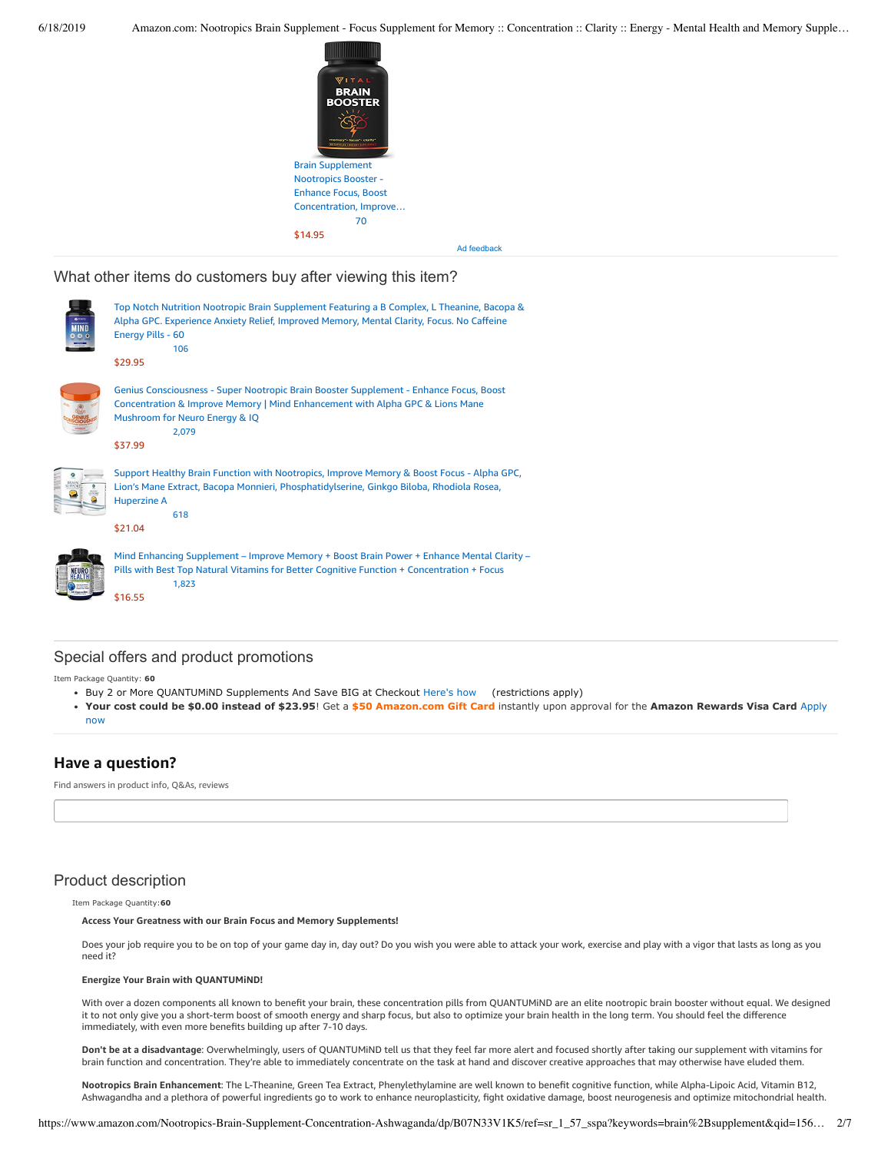

Ad feedback

What other items do customers buy after viewing this item?



# Special offers and product promotions

Item Package Quantity: **60**

- Buy 2 or More QUANTUMiND Supplements And Save BIG at Checkout [Here's how](javascript:void(0))  (restrictions apply)
- **[Your cost could be \\$0.00 instead of \\$23.95](https://www.amazon.com/gp/cobrandcard/marketing.html?pr=con321&inc=50gcUnrec&ts=e7r9ovbm474guwjmom45pbrbvs2sn3l&dasin=B07N33V1K5&plattr=math&place=detailpage&imp=a2e290e6-b64f-4819-af27-f056f3e6a076)**! Get a **\$50 Amazon.com Gift Card** instantly upon approval for the **Amazon Rewards Visa Card** Apply now

# **Have a question?**

Find answers in product info, Q&As, reviews

# Product description

Item Package Quantity:**60**

**Access Your Greatness with our Brain Focus and Memory Supplements!**

Does your job require you to be on top of your game day in, day out? Do you wish you were able to attack your work, exercise and play with a vigor that lasts as long as you need it?

#### **Energize Your Brain with QUANTUMiND!**

With over a dozen components all known to benefit your brain, these concentration pills from QUANTUMiND are an elite nootropic brain booster without equal. We designed it to not only give you a short-term boost of smooth energy and sharp focus, but also to optimize your brain health in the long term. You should feel the difference immediately, with even more benefits building up after 7-10 days.

**Don't be at a disadvantage**: Overwhelmingly, users of QUANTUMiND tell us that they feel far more alert and focused shortly after taking our supplement with vitamins for brain function and concentration. They're able to immediately concentrate on the task at hand and discover creative approaches that may otherwise have eluded them.

**Nootropics Brain Enhancement**: The L-Theanine, Green Tea Extract, Phenylethylamine are well known to benefit cognitive function, while Alpha-Lipoic Acid, Vitamin B12, Ashwagandha and a plethora of powerful ingredients go to work to enhance neuroplasticity, fight oxidative damage, boost neurogenesis and optimize mitochondrial health.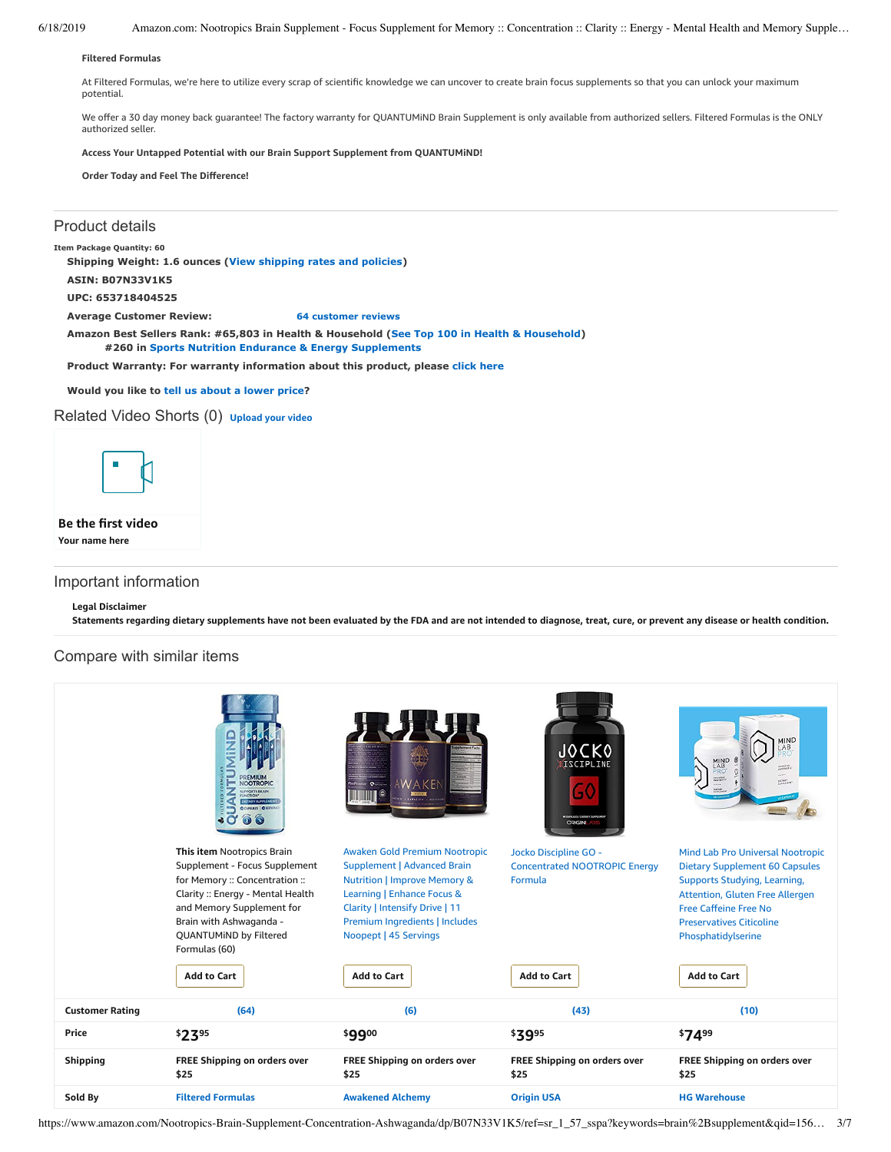**Filtered Formulas**

At Filtered Formulas, we're here to utilize every scrap of scientific knowledge we can uncover to create brain focus supplements so that you can unlock your maximum potential.

We offer a 30 day money back guarantee! The factory warranty for QUANTUMiND Brain Supplement is only available from authorized sellers. Filtered Formulas is the ONLY authorized seller.

**Access Your Untapped Potential with our Brain Support Supplement from QUANTUMiND!**

**Order Today and Feel The Difference!**

## Product details

**Item Package Quantity: 60**

**Shipping Weight: 1.6 ounces ([View shipping rates and policies](https://www.amazon.com/gp/help/seller/shipping.html/ref=dp_pd_shipping?ie=UTF8&asin=B07N33V1K5&seller=ATVPDKIKX0DER))**

**ASIN: B07N33V1K5**

**UPC: 653718404525**

**Average Customer Review: [64 customer reviews](https://www.amazon.com/product-reviews/B07N33V1K5/ref=acr_dpproductdetail_text?ie=UTF8&showViewpoints=1)**

**Amazon Best Sellers Rank: #65,803 in Health & Household ([See Top 100 in Health & Household](https://www.amazon.com/gp/bestsellers/hpc/ref=pd_zg_ts_hpc)) #260 in [Sports Nutrition Endurance & Energy Supplements](https://www.amazon.com/gp/bestsellers/hpc/6973678011/ref=pd_zg_hrsr_hpc)**

**Product Warranty: For warranty information about this product, please [click here](https://www.amazon.com/gp/feature.html/ref=dp_warranty_request_3P?ie=UTF8&docId=1002406021)**

**Would you like to tell us about a lower price?**

# Related Video Shorts (0) **[Upload](https://www.amazon.com/creatorhub/video/upload?productASIN=B07N33V1K5&referringURL=ZHAvQjA3TjMzVjFLNQ%3D%3D&ref=RVSW) your video**



### **Be the first video Your name here**

# Important information

### **Legal Disclaimer**

Statements regarding dietary supplements have not been evaluated by the FDA and are not intended to diagnose, treat, cure, or prevent any disease or health condition.

# Compare with similar items

|                        | PREMIUN<br><b>NOOTROPIC</b><br><b>PPORTS BRAIN</b><br><b>TARY SUPPLEMENT</b><br><b>OCUPALLIS   OSERVING</b>                                                                                                                                                      | OPERINT QUE<br>WAKE<br>'III O<br><b>TESTING</b>                                                                                                                                                                                                                 | <b>JOCKO</b><br>DISCIPLINE<br>GO<br><b>MOVISUES/DETAIT SUPPLEMEN</b><br><b>ORIGIN</b>          | MIND<br>LAB<br>DIETARY<br>Gundi Eletter                                                                                                                                                                                                                            |
|------------------------|------------------------------------------------------------------------------------------------------------------------------------------------------------------------------------------------------------------------------------------------------------------|-----------------------------------------------------------------------------------------------------------------------------------------------------------------------------------------------------------------------------------------------------------------|------------------------------------------------------------------------------------------------|--------------------------------------------------------------------------------------------------------------------------------------------------------------------------------------------------------------------------------------------------------------------|
|                        | This item Nootropics Brain<br>Supplement - Focus Supplement<br>for Memory :: Concentration ::<br>Clarity: Energy - Mental Health<br>and Memory Supplement for<br>Brain with Ashwaganda -<br><b>QUANTUMIND by Filtered</b><br>Formulas (60)<br><b>Add to Cart</b> | Awaken Gold Premium Nootropic<br><b>Supplement   Advanced Brain</b><br><b>Nutrition   Improve Memory &amp;</b><br>Learning   Enhance Focus &<br>Clarity   Intensify Drive   11<br>Premium Ingredients   Includes<br>Noopept   45 Servings<br><b>Add to Cart</b> | Jocko Discipline GO -<br><b>Concentrated NOOTROPIC Energy</b><br>Formula<br><b>Add to Cart</b> | <b>Mind Lab Pro Universal Nootropic</b><br><b>Dietary Supplement 60 Capsules</b><br>Supports Studying, Learning,<br>Attention, Gluten Free Allergen<br><b>Free Caffeine Free No</b><br><b>Preservatives Citicoline</b><br>Phosphatidylserine<br><b>Add to Cart</b> |
| <b>Customer Rating</b> | (64)                                                                                                                                                                                                                                                             | (6)                                                                                                                                                                                                                                                             | (43)                                                                                           | (10)                                                                                                                                                                                                                                                               |
| Price                  | \$2395                                                                                                                                                                                                                                                           | \$9900                                                                                                                                                                                                                                                          | \$3995                                                                                         | \$7499                                                                                                                                                                                                                                                             |
| <b>Shipping</b>        | <b>FREE Shipping on orders over</b><br>\$25                                                                                                                                                                                                                      | <b>FREE Shipping on orders over</b><br>\$25                                                                                                                                                                                                                     | <b>FREE Shipping on orders over</b><br>\$25                                                    | FREE Shipping on orders over<br>\$25                                                                                                                                                                                                                               |
| Sold By                | <b>Filtered Formulas</b>                                                                                                                                                                                                                                         | <b>Awakened Alchemy</b>                                                                                                                                                                                                                                         | <b>Origin USA</b>                                                                              | <b>HG Warehouse</b>                                                                                                                                                                                                                                                |

https://www.amazon.com/Nootropics-Brain-Supplement-Concentration-Ashwaganda/dp/B07N33V1K5/ref=sr\_1\_57\_sspa?keywords=brain%2Bsupplement&qid=156... 3/7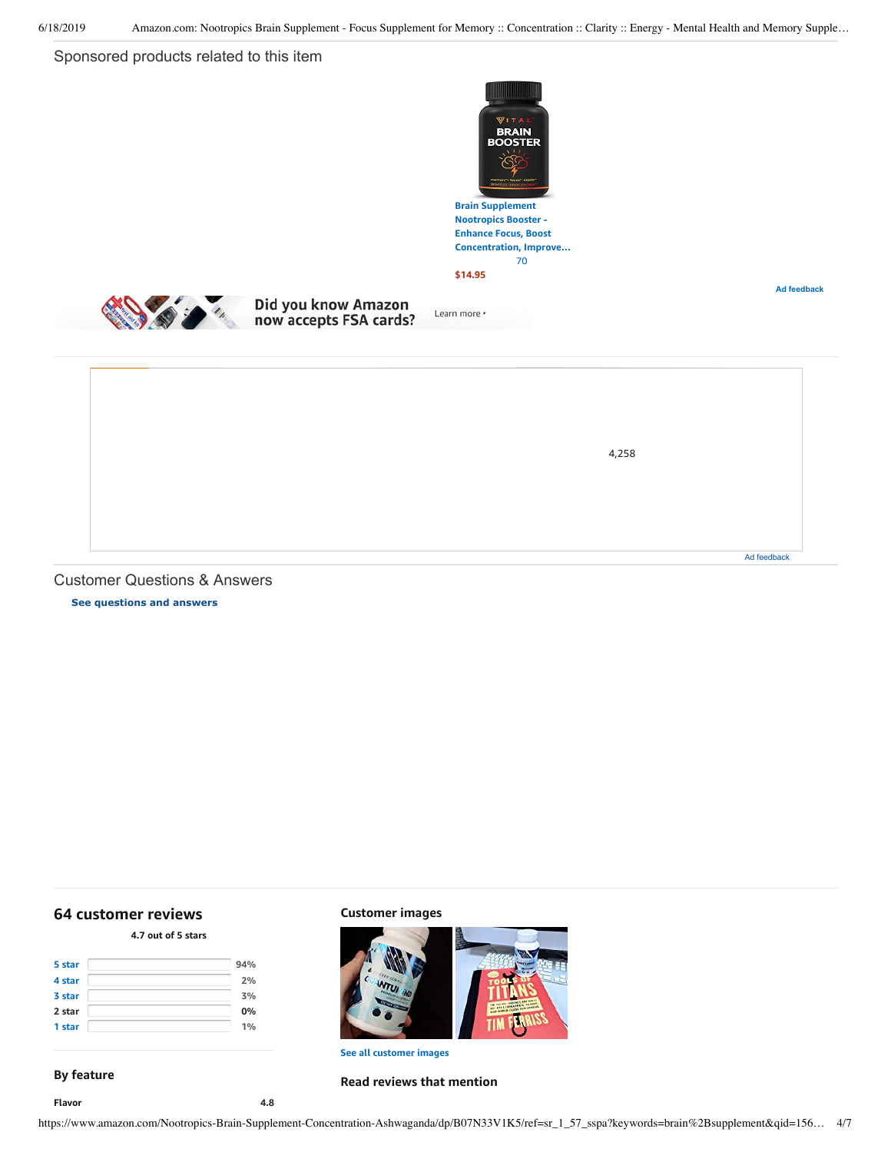# Sponsored products related to this item



**Nootropics Booster - Enhance Focus, Boost [Concentration,](https://www.amazon.com/gp/slredirect/picassoRedirect.html/ref=sspa_dk_detail_0?ie=UTF8&adId=A03406273HFQFBQIVH6CM&qualifier=1560866901&id=7069812256861031&widgetName=sp_detail2&url=%2Fdp%2FB07RP44QPT%2Fref%3Dsspa_dk_detail_0%3Fpsc%3D1) Improve…** [70](https://www.amazon.com/gp/slredirect/picassoRedirect.html/ref=sspa_dk_detail_0?ie=UTF8&adId=A03406273HFQFBQIVH6CM&qualifier=1560866901&id=7069812256861031&widgetName=sp_detail2&url=%2Fdp%2FB07RP44QPT%2Fref%3Dsspa_dk_detail_0%3Fpsc%3D1#customerReviews)

**Ad feedback**



Learn more \*



# Did you know Amazon now accepts FSA cards?

[4,258](https://www.amazon.com/dp/B01EY4MRIU?ref=dacx_dp_1629378280001_1365994790501&aaxitk=-kSS2NNpavQFf9PXyDEU4w) Ad feedback

# <span id="page-3-1"></span>Customer Questions & Answers

**[See questions and answers](https://www.amazon.com/ask/questions/asin/B07N33V1K5/ref=cm_cd_dp_lla_ql_ll)**

# <span id="page-3-0"></span>**[64 customer](https://www.amazon.com/Nootropics-Brain-Supplement-Concentration-Ashwaganda/product-reviews/B07N33V1K5/ref=cm_cr_dp_d_show_all_top?ie=UTF8&reviewerType=all_reviews) reviews**

## **4.7 out of 5 [stars](javascript:void(0))**

| 5 star | 94% |
|--------|-----|
| 4 star | 2%  |
| 3 star | 3%  |
| 2 star | 0%  |
| 1 star | 1%  |

### **Customer images**



**See all customer images**

# **Read reviews that mention**

**Flavor 4.8**

**By feature**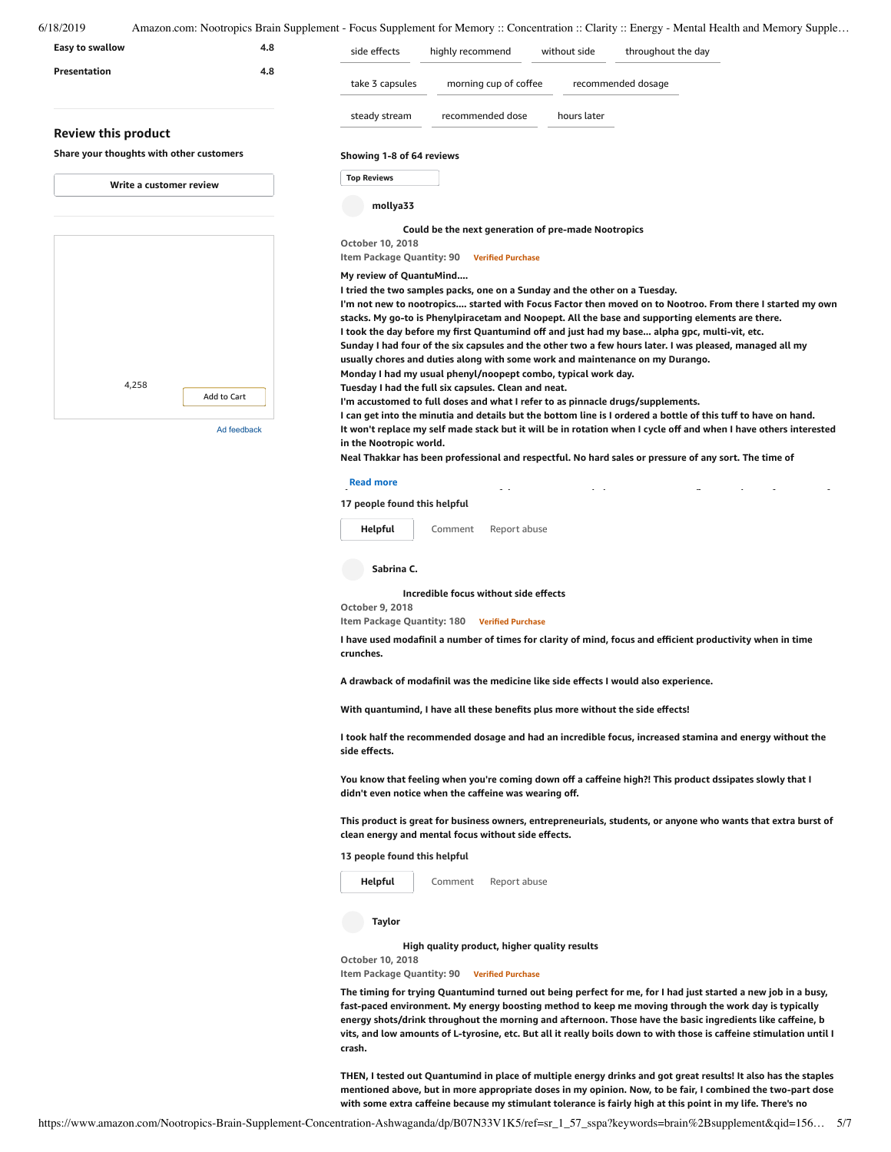| Easy to swallow                                                        | 4.8         | side effects                                  | highly recommend                                                                                                                               | without side | throughout the day                                                                                                |
|------------------------------------------------------------------------|-------------|-----------------------------------------------|------------------------------------------------------------------------------------------------------------------------------------------------|--------------|-------------------------------------------------------------------------------------------------------------------|
| Presentation                                                           | 4.8         | take 3 capsules                               | morning cup of coffee                                                                                                                          |              | recommended dosage                                                                                                |
|                                                                        |             | steady stream                                 | recommended dose                                                                                                                               | hours later  |                                                                                                                   |
| <b>Review this product</b><br>Share your thoughts with other customers |             | Showing 1-8 of 64 reviews                     |                                                                                                                                                |              |                                                                                                                   |
| Write a customer review                                                |             | <b>Top Reviews</b>                            |                                                                                                                                                |              |                                                                                                                   |
|                                                                        |             | mollya33                                      |                                                                                                                                                |              |                                                                                                                   |
|                                                                        |             |                                               | Could be the next generation of pre-made Nootropics                                                                                            |              |                                                                                                                   |
|                                                                        |             | October 10, 2018<br>Item Package Quantity: 90 | <b>Verified Purchase</b>                                                                                                                       |              |                                                                                                                   |
|                                                                        |             | My review of QuantuMind                       |                                                                                                                                                |              |                                                                                                                   |
|                                                                        |             |                                               | I tried the two samples packs, one on a Sunday and the other on a Tuesday.                                                                     |              | I'm not new to nootropics started with Focus Factor then moved on to Nootroo. From there I started my own         |
|                                                                        |             |                                               |                                                                                                                                                |              | stacks. My go-to is Phenylpiracetam and Noopept. All the base and supporting elements are there.                  |
|                                                                        |             |                                               |                                                                                                                                                |              | I took the day before my first Quantumind off and just had my base alpha gpc, multi-vit, etc.                     |
|                                                                        |             |                                               |                                                                                                                                                |              | Sunday I had four of the six capsules and the other two a few hours later. I was pleased, managed all my          |
|                                                                        |             |                                               | usually chores and duties along with some work and maintenance on my Durango.<br>Monday I had my usual phenyl/noopept combo, typical work day. |              |                                                                                                                   |
| 4,258                                                                  |             |                                               | Tuesday I had the full six capsules. Clean and neat.                                                                                           |              |                                                                                                                   |
|                                                                        | Add to Cart |                                               | I'm accustomed to full doses and what I refer to as pinnacle drugs/supplements.                                                                |              | I can get into the minutia and details but the bottom line is I ordered a bottle of this tuff to have on hand.    |
|                                                                        | Ad feedback | in the Nootropic world.                       |                                                                                                                                                |              | It won't replace my self made stack but it will be in rotation when I cycle off and when I have others interested |
|                                                                        |             |                                               |                                                                                                                                                |              |                                                                                                                   |

Neal Thakkar has been professional and respectful. No hard sales or pressure of any sort. The time of

### **Read more** that the contract of the contract of the contract of the contract of the contract of the contract of the contract of the contract of the contract of the contract of the contract of the contract of the contract

### **17 people found this helpful**

[Comment](https://www.amazon.com/gp/customer-reviews/R3DJ6ETPY69BXW/ref=cm_cr_dp_d_rvw_btm?ie=UTF8&ASIN=B07N33V1K5#wasThisHelpful) [Report](https://www.amazon.com/hz/reviews-render/report-abuse?ie=UTF8&voteDomain=Reviews&ref=cm_cr_dp_d_rvw_hlp&csrfT=gmG9ULk1Mirvsu%2BcLXw8okwGbqfV01Aj%2FqKpUrkAAAABAAAAAF0I8FZyYXcAAAAA%2B4kUEk%2F7iMGR3xPcX6iU&entityId=R3DJ6ETPY69BXW&sessionId=143-6729050-3493109) abuse **[Helpful](https://www.amazon.com/ap/signin?openid.return_to=https%3A%2F%2Fwww.amazon.com%2Fdp%2FB07N33V1K5%2Fref%3Dcm_cr_dp_d_vote_lft%3Fie%3DUTF8%26voteInstanceId%3DR3DJ6ETPY69BXW%26voteValue%3D1%26csrfT%3DgmG9ULk1Mirvsu%252BcLXw8okwGbqfV01Aj%252FqKpUrkAAAABAAAAAF0I8FZyYXcAAAAA%252B4kUEk%252F7iMGR3xPcX6iU%23R3DJ6ETPY69BXW&openid.identity=http%3A%2F%2Fspecs.openid.net%2Fauth%2F2.0%2Fidentifier_select&openid.claimed_id=http%3A%2F%2Fspecs.openid.net%2Fauth%2F2.0%2Fidentifier_select&openid.assoc_handle=usflex&openid.mode=checkid_setup&openid.ns=http%3A%2F%2Fspecs.openid.net%2Fauth%2F2.0)**

**Sabrina C.**

### **[Incredible](https://www.amazon.com/gp/customer-reviews/RPZVGZT50GMOV/ref=cm_cr_dp_d_rvw_ttl?ie=UTF8&ASIN=B07N33V1K5) focus without side effects**

**October 9, 2018**

**Item Package Quantity: 180 Verified Purchase**

I have used modafinil a number of times for clarity of mind, focus and efficient productivity when in time **crunches.**

**A drawback of modafinil was the medicine like side effects I would also experience.**

**With quantumind, I have all these benefits plus more without the side effects!**

**I took half the recommended dosage and had an incredible focus, increased stamina and energy without the side effects.**

You know that feeling when you're coming down off a caffeine high?! This product dssipates slowly that I **didn't even notice when the caffeine was wearing off.**

This product is great for business owners, entrepreneurials, students, or anyone who wants that extra burst of **clean energy and mental focus without side effects.**

**13 people found this helpful**



**Taylor**

**High quality [product,](https://www.amazon.com/gp/customer-reviews/R1UB6DBSRPZTSM/ref=cm_cr_dp_d_rvw_ttl?ie=UTF8&ASIN=B07N33V1K5) higher quality results**

**October 10, 2018**

**Item Package Quantity: 90 Verified Purchase**

The timing for trying Quantumind turned out being perfect for me, for I had just started a new job in a busy, **fast-paced environment. My energy boosting method to keep me moving through the work day is typically energy shots/drink throughout the morning and afternoon. Those have the basic ingredients like caffeine, b** vits, and low amounts of L-tyrosine, etc. But all it really boils down to with those is caffeine stimulation until I **crash.**

THEN, I tested out Quantumind in place of multiple energy drinks and got great results! It also has the staples mentioned above, but in more appropriate doses in my opinion. Now, to be fair, I combined the two-part dose with some extra caffeine because my stimulant tolerance is fairly high at this point in my life. There's no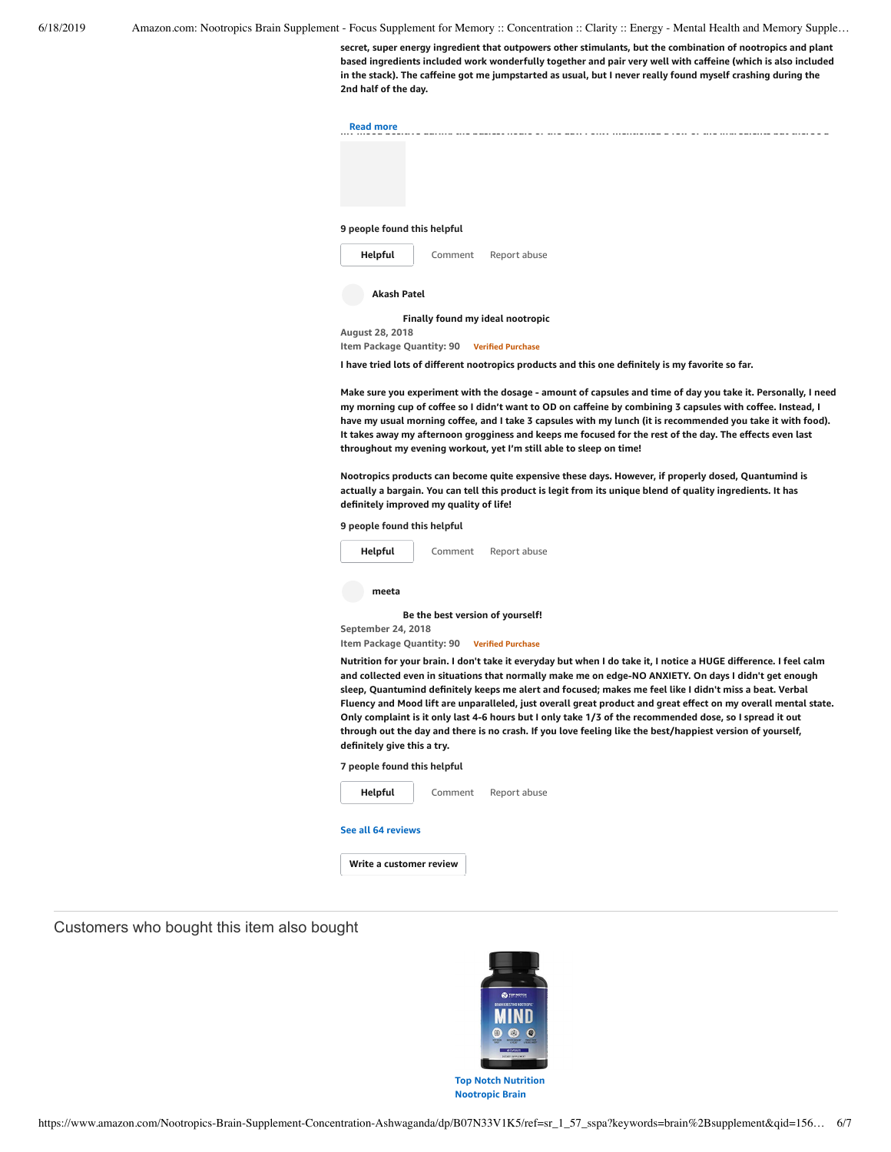**secret, super energy ingredient that outpowers other stimulants, but the combination of nootropics and plant based ingredients included work wonderfully together and pair very well with caffeine (which is also included** in the stack). The caffeine got me jumpstarted as usual, but I never really found myself crashing during the **2nd half of the day.**

| <b>Read more</b> |  |  |  |
|------------------|--|--|--|
|                  |  |  |  |
|                  |  |  |  |
|                  |  |  |  |
|                  |  |  |  |
|                  |  |  |  |

#### **9 people found this helpful**



**Finally found my ideal [nootropic](https://www.amazon.com/gp/customer-reviews/REUH1H92QH07F/ref=cm_cr_dp_d_rvw_ttl?ie=UTF8&ASIN=B07N33V1K5)**

**August 28, 2018 Item Package Quantity: 90 Verified Purchase**

**I have tried lots of different nootropics products and this one definitely is my favorite so far.**

Make sure you experiment with the dosage - amount of capsules and time of day you take it. Personally, I need my morning cup of coffee so I didn't want to OD on caffeine by combining 3 capsules with coffee. Instead, I have my usual morning coffee, and I take 3 capsules with my lunch (it is recommended you take it with food). It takes away my afternoon grogginess and keeps me focused for the rest of the day. The effects even last **throughout my evening workout, yet I'm still able to sleep on time!**

**Nootropics products can become quite expensive these days. However, if properly dosed, Quantumind is** actually a bargain. You can tell this product is legit from its unique blend of quality ingredients. It has **definitely improved my quality of life!**

**9 people found this helpful**

| Helpful | Comment | Report abuse |
|---------|---------|--------------|
| meeta   |         |              |

**Be the best version of [yourself!](https://www.amazon.com/gp/customer-reviews/R3LQJY0UDFCZWP/ref=cm_cr_dp_d_rvw_ttl?ie=UTF8&ASIN=B07N33V1K5) September 24, 2018 Item Package Quantity: 90 Verified Purchase**

Nutrition for your brain. I don't take it everyday but when I do take it, I notice a HUGE difference. I feel calm and collected even in situations that normally make me on edge-NO ANXIETY. On days I didn't get enough sleep, Quantumind definitely keeps me alert and focused; makes me feel like I didn't miss a beat. Verbal Fluency and Mood lift are unparalleled, just overall great product and great effect on my overall mental state. Only complaint is it only last 4-6 hours but I only take 1/3 of the recommended dose, so I spread it out through out the day and there is no crash. If you love feeling like the best/happiest version of yourself, **definitely give this a try.**





Customers who bought this item also bought



**[Nootropic](https://www.amazon.com/Nutrition-Nootropic-Supplement-Featuring-Experience/dp/B07MZFGX4S/ref=pd_sim_121_1/143-6729050-3493109?_encoding=UTF8&pd_rd_i=B07MZFGX4S&pd_rd_r=87f6d15f-91d2-11e9-ac5b-5f8a14e8f1ee&pd_rd_w=XfLlH&pd_rd_wg=IDkL5&pf_rd_p=90485860-83e9-4fd9-b838-b28a9b7fda30&pf_rd_r=X83G2WE6M5D4PT7S325B&psc=1&refRID=X83G2WE6M5D4PT7S325B) Brain**